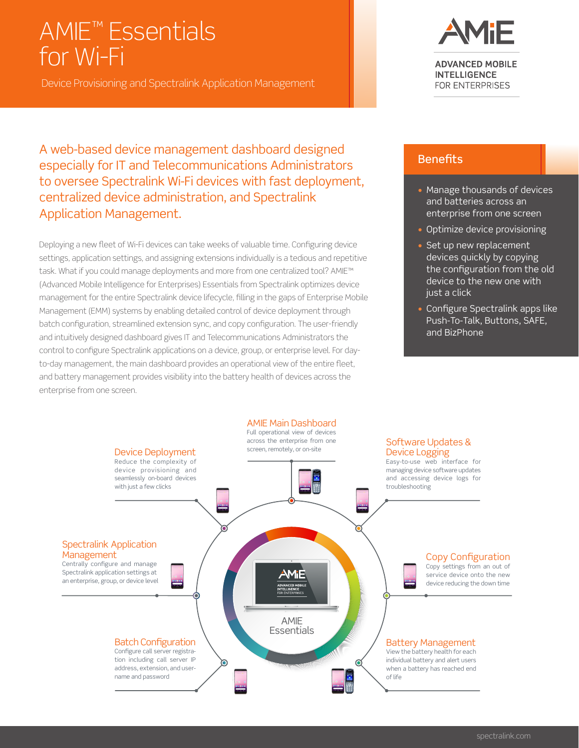# AMIE™ Essentials for Wi-Fi

Device Provisioning and Spectralink Application Management

A web-based device management dashboard designed especially for IT and Telecommunications Administrators to oversee Spectralink Wi-Fi devices with fast deployment, centralized device administration, and Spectralink Application Management.

Deploying a new fleet of Wi-Fi devices can take weeks of valuable time. Configuring device settings, application settings, and assigning extensions individually is a tedious and repetitive task. What if you could manage deployments and more from one centralized tool? AMIE™ (Advanced Mobile Intelligence for Enterprises) Essentials from Spectralink optimizes device management for the entire Spectralink device lifecycle, filling in the gaps of Enterprise Mobile Management (EMM) systems by enabling detailed control of device deployment through batch configuration, streamlined extension sync, and copy configuration. The user-friendly and intuitively designed dashboard gives IT and Telecommunications Administrators the control to configure Spectralink applications on a device, group, or enterprise level. For dayto-day management, the main dashboard provides an operational view of the entire fleet, and battery management provides visibility into the battery health of devices across the enterprise from one screen.



**ADVANCED MOBILE INTELLIGENCE** FOR ENTERPRISES

#### **Benefits**

- Manage thousands of devices and batteries across an enterprise from one screen
- Optimize device provisioning
- Set up new replacement devices quickly by copying the configuration from the old device to the new one with just a click
- Configure Spectralink apps like Push-To-Talk, Buttons, SAFE, and BizPhone

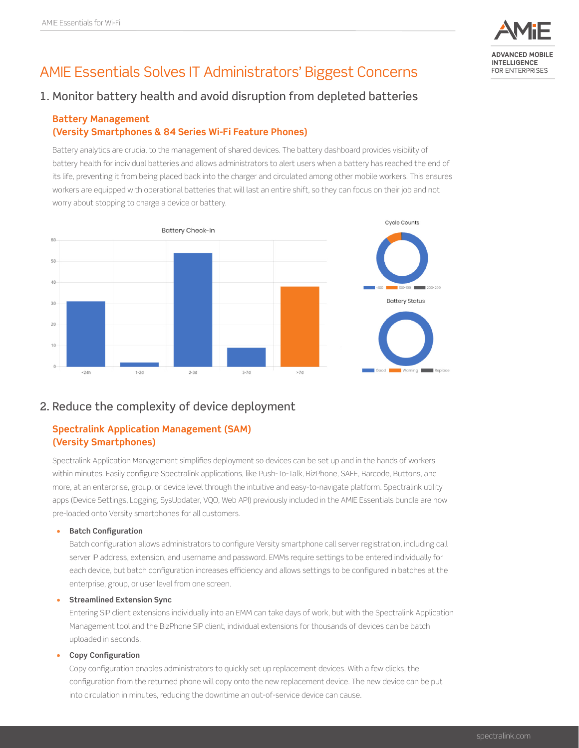

## AMIE Essentials Solves IT Administrators' Biggest Concerns

### 1. Monitor battery health and avoid disruption from depleted batteries

#### **Battery Management (Versity Smartphones & 84 Series Wi-Fi Feature Phones)**

Battery analytics are crucial to the management of shared devices. The battery dashboard provides visibility of battery health for individual batteries and allows administrators to alert users when a battery has reached the end of its life, preventing it from being placed back into the charger and circulated among other mobile workers. This ensures workers are equipped with operational batteries that will last an entire shift, so they can focus on their job and not worry about stopping to charge a device or battery.



### 2. Reduce the complexity of device deployment

#### **Spectralink Application Management (SAM) (Versity Smartphones)**

Spectralink Application Management simplifies deployment so devices can be set up and in the hands of workers within minutes. Easily configure Spectralink applications, like Push-To-Talk, BizPhone, SAFE, Barcode, Buttons, and more, at an enterprise, group, or device level through the intuitive and easy-to-navigate platform. Spectralink utility apps (Device Settings, Logging, SysUpdater, VQO, Web API) previously included in the AMIE Essentials bundle are now pre-loaded onto Versity smartphones for all customers.

#### **• Batch Configuration**

Batch configuration allows administrators to configure Versity smartphone call server registration, including call server IP address, extension, and username and password. EMMs require settings to be entered individually for each device, but batch configuration increases efficiency and allows settings to be configured in batches at the enterprise, group, or user level from one screen.

#### **• Streamlined Extension Sync**

Entering SIP client extensions individually into an EMM can take days of work, but with the Spectralink Application Management tool and the BizPhone SIP client, individual extensions for thousands of devices can be batch uploaded in seconds.

#### **• Copy Configuration**

Copy configuration enables administrators to quickly set up replacement devices. With a few clicks, the configuration from the returned phone will copy onto the new replacement device. The new device can be put into circulation in minutes, reducing the downtime an out-of-service device can cause.